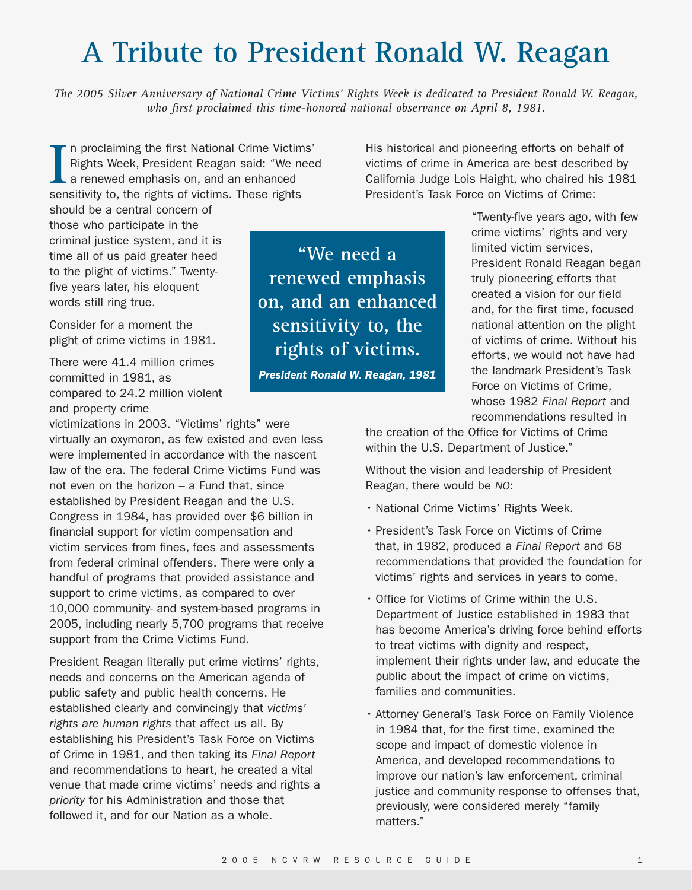## **A Tribute to President Ronald W. Reagan**

*The 2005 Silver Anniversary of National Crime Victims' Rights Week is dedicated to President Ronald W. Reagan, who first proclaimed this time-honored national observance on April 8, 1981.*

**I** n proclaiming the first National Crime Victims' Rights Week, President Reagan said: "We need a renewed emphasis on, and an enhanced sensitivity to, the rights of victims. These rights

should be a central concern of those who participate in the criminal justice system, and it is time all of us paid greater heed to the plight of victims." Twentyfive years later, his eloquent words still ring true.

Consider for a moment the plight of crime victims in 1981.

There were 41.4 million crimes committed in 1981, as compared to 24.2 million violent and property crime

victimizations in 2003. "Victims' rights" were virtually an oxymoron, as few existed and even less were implemented in accordance with the nascent law of the era. The federal Crime Victims Fund was not even on the horizon – a Fund that, since established by President Reagan and the U.S. Congress in 1984, has provided over \$6 billion in financial support for victim compensation and victim services from fines, fees and assessments from federal criminal offenders. There were only a handful of programs that provided assistance and support to crime victims, as compared to over 10,000 community- and system-based programs in 2005, including nearly 5,700 programs that receive support from the Crime Victims Fund.

President Reagan literally put crime victims' rights, needs and concerns on the American agenda of public safety and public health concerns. He established clearly and convincingly that *victims' rights are human rights* that affect us all. By establishing his President's Task Force on Victims of Crime in 1981, and then taking its *Final Report* and recommendations to heart, he created a vital venue that made crime victims' needs and rights a *priority* for his Administration and those that followed it, and for our Nation as a whole.

**"We need a renewed emphasis on, and an enhanced sensitivity to, the rights of victims.**

*President Ronald W. Reagan, 1981*

His historical and pioneering efforts on behalf of victims of crime in America are best described by California Judge Lois Haight, who chaired his 1981 President's Task Force on Victims of Crime:

> "Twenty-five years ago, with few crime victims' rights and very limited victim services, President Ronald Reagan began truly pioneering efforts that created a vision for our field and, for the first time, focused national attention on the plight of victims of crime. Without his efforts, we would not have had the landmark President's Task Force on Victims of Crime, whose 1982 *Final Report* and recommendations resulted in

the creation of the Office for Victims of Crime within the U.S. Department of Justice."

Without the vision and leadership of President Reagan, there would be *NO*:

- National Crime Victims' Rights Week.
- President's Task Force on Victims of Crime that, in 1982, produced a *Final Report* and 68 recommendations that provided the foundation for victims' rights and services in years to come.
- Office for Victims of Crime within the U.S. Department of Justice established in 1983 that has become America's driving force behind efforts to treat victims with dignity and respect, implement their rights under law, and educate the public about the impact of crime on victims, families and communities.
- Attorney General's Task Force on Family Violence in 1984 that, for the first time, examined the scope and impact of domestic violence in America, and developed recommendations to improve our nation's law enforcement, criminal justice and community response to offenses that, previously, were considered merely "family matters."